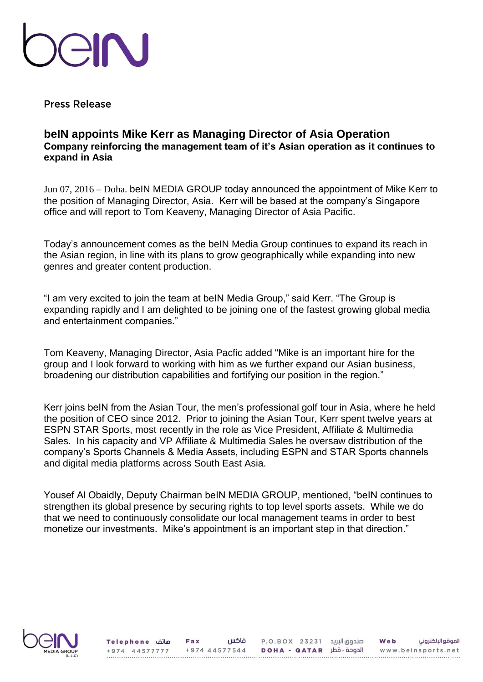

**Press Release** 

## **beIN appoints Mike Kerr as Managing Director of Asia Operation Company reinforcing the management team of it's Asian operation as it continues to expand in Asia**

Jun 07, 2016 – Doha. beIN MEDIA GROUP today announced the appointment of Mike Kerr to the position of Managing Director, Asia. Kerr will be based at the company's Singapore office and will report to Tom Keaveny, Managing Director of Asia Pacific.

Today's announcement comes as the beIN Media Group continues to expand its reach in the Asian region, in line with its plans to grow geographically while expanding into new genres and greater content production.

"I am very excited to join the team at beIN Media Group," said Kerr. "The Group is expanding rapidly and I am delighted to be joining one of the fastest growing global media and entertainment companies."

Tom Keaveny, Managing Director, Asia Pacfic added "Mike is an important hire for the group and I look forward to working with him as we further expand our Asian business, broadening our distribution capabilities and fortifying our position in the region."

Kerr joins beIN from the Asian Tour, the men's professional golf tour in Asia, where he held the position of CEO since 2012. Prior to joining the Asian Tour, Kerr spent twelve years at ESPN STAR Sports, most recently in the role as Vice President, Affiliate & Multimedia Sales. In his capacity and VP Affiliate & Multimedia Sales he oversaw distribution of the company's Sports Channels & Media Assets, including ESPN and STAR Sports channels and digital media platforms across South East Asia.

Yousef Al Obaidly, Deputy Chairman beIN MEDIA GROUP, mentioned, "beIN continues to strengthen its global presence by securing rights to top level sports assets. While we do that we need to continuously consolidate our local management teams in order to best monetize our investments. Mike's appointment is an important step in that direction."